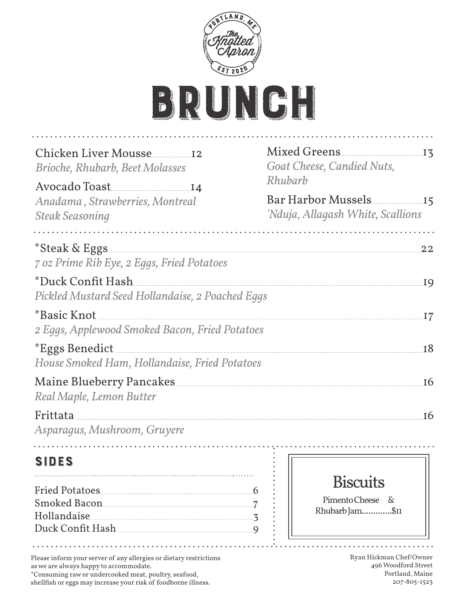

| Chicken Liver Mousse<br><b>Brioche, Rhubarb, Beet Molasses</b>                                                                 | Goat Cheese, Candied Nuts.<br>Rhubarb                      |
|--------------------------------------------------------------------------------------------------------------------------------|------------------------------------------------------------|
| Avocado Toast<br>Anadama, Strawberries, Montreal<br><b>Steak Seasoning</b>                                                     | Bar Harbor Mussels 15<br>'Nduja, Allagash White, Scallions |
| *Steak & Eggs<br>7 oz Prime Rib Eye, 2 Eggs, Fried Potatoes                                                                    | 22                                                         |
| Pickled Mustard Seed Hollandaise, 2 Poached Eggs                                                                               |                                                            |
| <i>*Basic Knot</i><br>2 Eggs, Applewood Smoked Bacon, Fried Potatoes                                                           | .17                                                        |
| House Smoked Ham, Hollandaise, Fried Potatoes                                                                                  | <b>18</b>                                                  |
| Real Maple, Lemon Butter                                                                                                       | <b>16</b>                                                  |
| Asparagus, Mushroom, Gruyere                                                                                                   | <b>I</b> 6                                                 |
| <b>SIDES</b>                                                                                                                   |                                                            |
| Smoked Bacon<br>Duck Confit Hash Market Manual Manual Manual Manual Manual Manual Manual Manual Manual Manual Manual Manual Ma | <b>Biscuits</b><br>Pimento Cheese &<br>Rhubarb Jam\$11     |
| Please inform your server of any allergies or dietary restrictions                                                             | $\mathbf{r}$ .<br>Ryan Hickman Chef/Owner                  |

as we are always happy to accommodate. \*Consuming raw or undercooked meat, poultry, seafood,

shellfish or eggs may increase your risk of foodborne illness.

496 Woodford Street Portland, Maine 207-805-1523